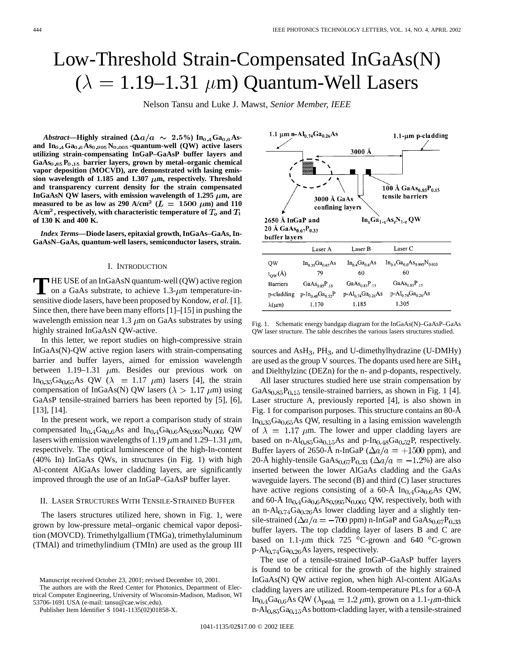1.1-um p-cladding

# Low-Threshold Strain-Compensated InGaAs(N)  $(\lambda = 1.19 - 1.31 \,\mu m)$  Quantum-Well Lasers

Nelson Tansu and Luke J. Mawst*, Senior Member, IEEE*

1.1  $\mu$ m n-Al<sub>0.74</sub>Ga<sub>0.26</sub>As

*Abstract*—Highly strained ( $\Delta a/a \sim 2.5\%$ ) In<sub>0.4</sub> Ga<sub>0.6</sub> Asand  $In_{0,4}Ga_{0,6}As_{0,995}N_{0,005}$ -quantum-well (QW) active lasers **utilizing strain-compensating InGaP–GaAsP buffer layers and**  $GaAs<sub>0.85</sub>P<sub>0.15</sub>$  barrier layers, grown by metal–organic chemical **vapor deposition (MOCVD), are demonstrated with lasing emis**sion wavelength of 1.185 and 1.307  $\mu$ m, respectively. Threshold **and transparency current density for the strain compensated** InGaAsN QW lasers, with emission wavelength of  $1.295 \mu m$ , are **measured to be as low as 290 A/cm<sup>2</sup> (** $L = 1500 \mu m$ **) and 110**  $A/cm<sup>2</sup>$ , respectively, with characteristic temperature of  $T<sub>o</sub>$  and  $T<sub>1</sub>$ **of 130 K and 400 K.**

*Index Terms—***Diode lasers, epitaxial growth, InGaAs–GaAs, In-GaAsN–GaAs, quantum-well lasers, semiconductor lasers, strain.**

## I. INTRODUCTION

**T** HE USE of an InGaAsN quantum-well (QW) active region<br>on a GaAs substrate, to achieve  $1.3$ - $\mu$ m temperature-in-<br>consider the late laser have been approached by Karakan, at al. [1] sensitive diode lasers, have been proposed by Kondow, *et al.* [1]. Since then, there have been many efforts [1]–[15] in pushing the wavelength emission near 1.3  $\mu$ m on GaAs substrates by using highly strained InGaAsN QW-active.

In this letter, we report studies on high-compressive strain InGaAs(N)-QW active region lasers with strain-compensating barrier and buffer layers, aimed for emission wavelength between 1.19–1.31  $\mu$ m. Besides our previous work on In<sub>0.35</sub>Ga<sub>0.65</sub>As QW ( $\lambda$  = 1.17  $\mu$ m) lasers [4], the strain compensation of InGaAs(N) QW lasers ( $\lambda > 1.17 \ \mu m$ ) using GaAsP tensile-strained barriers has been reported by [5], [6], [13], [14].

In the present work, we report a comparison study of strain compensated  $In_{0.4}Ga_{0.6}As$  and  $In_{0.4}Ga_{0.6}As_{0.995}N_{0.005}$  QW lasers with emission wavelengths of 1.19  $\mu$ m and 1.29–1.31  $\mu$ m, respectively. The optical luminescence of the high-In-content (40% In) InGaAs QWs, in structures (in Fig. 1) with high Al-content AlGaAs lower cladding layers, are significantly improved through the use of an InGaP–GaAsP buffer layer.

### II. LASER STRUCTURES WITH TENSILE-STRAINED BUFFER

The lasers structures utilized here, shown in Fig. 1, were grown by low-pressure metal–organic chemical vapor deposition (MOVCD). Trimethylgallium (TMGa), trimethylaluminum (TMAl) and trimethylindium (TMIn) are used as the group III

The authors are with the Reed Center for Photonics, Department of Electrical Computer Engineering, University of Wisconsin-Madison, Madison, WI 53706-1691 USA (e-mail: tansu@cae.wisc.edu).

Publisher Item Identifier S 1041-1135(02)01858-X.

3000 Å 100 Å GaAs<sub>0.85</sub>P<sub>0.15</sub> tensile barriers 3000 Å GaAs confining layers 2650 Å InGaP and  $In_xGa_{1-x}As_zN_{1-z}QW$ 20 Å  $GaAs_{0.67}P_{0.33}$ buffer layers Laser C Laser A Laser B QW  $In_{0.35}Ga_{0.65}As$  $In_{0.4}Ga_{0.6}As$  $In_{0.4}Ga_{0.6}As_{0.995}N_{0.005}$ 79 60 60  $t_{\text{QW}}(\text{\AA})$ **Barriers**  $GaAs_{0.85}P_{.15}$  $GaAs_{0.85}P_{.15}$  $GaAs_{0.85}P_{.15}$  $p-In<sub>0.48</sub>Ga<sub>0.52</sub>P$ p-cladding  $p-Al_{0.74}Ga_{0.26}As$  $p - Al_{0.74}Ga_{0.26}As$ 1.305 1.185  $\lambda(\mu m)$ 1.170

Fig. 1. Schematic energy bandgap diagram for the InGaAs(N)–GaAsP–GaAs QW laser structure. The table describes the various lasers structures studied.

sources and  $\text{AsH}_3$ , PH<sub>3</sub>, and U-dimethylhydrazine (U-DMHy) are used as the group V sources. The dopants used here are SiH and Dielthylzinc (DEZn) for the n- and p-dopants, respectively.

All laser structures studied here use strain compensation by  $GaAs<sub>0.85</sub>P<sub>0.15</sub>$  tensile-strained barriers, as shown in Fig. 1 [4]. Laser structure A, previously reported [4], is also shown in Fig. 1 for comparison purposes. This structure contains an 80-Å  $In<sub>0.35</sub>Ga<sub>0.65</sub>As QW, resulting in a lasting emission wavelength$ of  $\lambda = 1.17 \mu m$ . The lower and upper cladding layers are based on n-Al $_{0.85}$ Ga $_{0.15}$ As and p-In $_{0.48}$ Ga $_{0.52}$ P, respectively. Buffer layers of 2650-Å n-InGaP ( $\Delta a/a = +1500$  ppm), and 20-Å highly-tensile GaAs<sub>0.67</sub>P<sub>0.33</sub> ( $\Delta a/a = -1.2$ %) are also inserted between the lower AlGaAs cladding and the GaAs waveguide layers. The second (B) and third (C) laser structures have active regions consisting of a 60-Å  $In<sub>0.4</sub>Ga<sub>0.6</sub>As$  QW, and 60-Å  $In<sub>0.4</sub> Ga<sub>0.6</sub>As<sub>0.995</sub>N<sub>0.005</sub>$  QW, respectively, both with an n-Al $_{0.74}$ Ga $_{0.26}$ As lower cladding layer and a slightly tensile-strained ( $\Delta a/a = -700$  ppm) n-InGaP and GaAs <sub>0.67</sub>P<sub>0.33</sub> buffer layers. The top cladding layer of lasers B and C are based on 1.1- $\mu$ m thick 725 °C-grown and 640 °C-grown  $p$ -Al<sub>0.74</sub>Ga<sub>0.26</sub>As layers, respectively.

The use of a tensile-strained InGaP–GaAsP buffer layers is found to be critical for the growth of the highly strained InGaAs(N) QW active region, when high Al-content AlGaAs cladding layers are utilized. Room-temperature PLs for a 60-Å In<sub>0.4</sub>Ga<sub>0.6</sub>As QW ( $\lambda_{\text{peak}} = 1.2 \,\mu\text{m}$ ), grown on a 1.1- $\mu$ m-thick n-Al $_{0.85}$ Ga $_{0.15}$ As bottom-cladding layer, with a tensile-strained



Manuscript received October 23, 2001; revised December 10, 2001.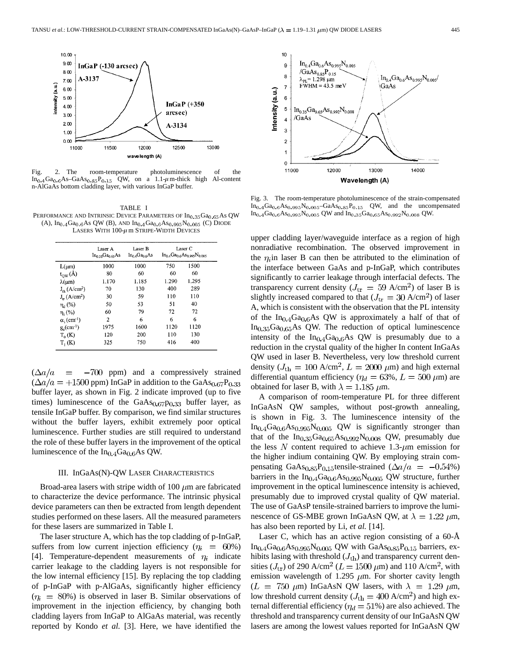

Fig. 2. The room-temperature photoluminescence of the  $In_{0.4}Ga_{0.6}As-GaAs_{0.85}P_{0.15}$  QW, on a 1.1- $\mu$ m-thick high Al-content n-AlGaAs bottom cladding layer, with various InGaP buffer.

TABLE I PERFORMANCE AND INTRINSIC DEVICE PARAMETERS OF  $In_{0.35}Ga_{0.65}As$  QW (A),  $In_{0.4}Ga_{0.6}As$  QW (B), AND  $In_{0.4}Ga_{0.6}As_{0.995}N_{0.005}$  (C) DIODE LASERS WITH  $100-\mu$  m STRIPE-WIDTH DEVICES

| $L(\mu m)$                       | Laser A<br>$In_{0.35}Ga_{0.65}As$<br>1000 | Laser B<br>$In_0$ <sub>4</sub> Ga <sub>0.6</sub> As<br>1000 | Laser C<br>$In_0 \triangle Ga_0 \triangle As_0 \diamond sN_0 \diamond s$ |       |
|----------------------------------|-------------------------------------------|-------------------------------------------------------------|--------------------------------------------------------------------------|-------|
|                                  |                                           |                                                             | 750                                                                      | 1500  |
| $t_{QW}(\AA)$                    | 80                                        | 60                                                          | 60                                                                       | 60    |
| $\lambda(\mu m)$                 | 1.170                                     | 1.185                                                       | 1.290                                                                    | 1.295 |
| $J_{th}$ (A/cm <sup>2</sup> )    | 70                                        | 130                                                         | 400                                                                      | 289   |
| $J_{rr}$ (A/cm <sup>2</sup> )    | 30                                        | 59                                                          | 110                                                                      | 110   |
| $\eta_d$ (%)                     | 50                                        | 53                                                          | 51                                                                       | 40    |
| $\eta_i$ (%)                     | 60                                        | 79                                                          | 72                                                                       | 72    |
| $\alpha$ ; (cm <sup>-1</sup> )   | 2                                         | 6                                                           | 6                                                                        | 6     |
| $g_0$ (cm <sup>-1</sup> )        | 1975                                      | 1600                                                        | 1120                                                                     | 1120  |
| $T_{\alpha}$ (K)                 | 120                                       | 200                                                         | 110                                                                      | 130   |
| $\mathrm{T_{1}\left( K\right) }$ | 325                                       | 750                                                         | 416                                                                      | 400   |

 $(\Delta a/a = -700$  ppm) and a compressively strained  $(\Delta a/a = +1500$  ppm) InGaP in addition to the GaAs<sub>0.67</sub>P<sub>0.33</sub> buffer layer, as shown in Fig. 2 indicate improved (up to five times) luminescence of the  $GaAs<sub>0.67</sub>p<sub>0.33</sub>$  buffer layer, as tensile InGaP buffer. By comparison, we find similar structures without the buffer layers, exhibit extremely poor optical luminescence. Further studies are still required to understand the role of these buffer layers in the improvement of the optical luminescence of the  $In<sub>0.4</sub>Ga<sub>0.6</sub>As QW.$ 

# III. InGaAs(N)-QW LASER CHARACTERISTICS

Broad-area lasers with stripe width of 100  $\mu$ m are fabricated to characterize the device performance. The intrinsic physical device parameters can then be extracted from length dependent studies performed on these lasers. All the measured parameters for these lasers are summarized in Table I.

The laser structure A, which has the top cladding of p-InGaP, suffers from low current injection efficiency  $(\eta_i = 60\%)$ [4]. Temperature-dependent measurements of  $\eta_i$  indicate carrier leakage to the cladding layers is not responsible for the low internal efficiency [15]. By replacing the top cladding of p-InGaP with p-AlGaAs, significantly higher efficiency  $(\eta_i = 80\%)$  is observed in laser B. Similar observations of improvement in the injection efficiency, by changing both cladding layers from InGaP to AlGaAs material, was recently reported by Kondo *et al.* [3]. Here, we have identified the



Fig. 3. The room-temperature photoluminescence of the strain-compensated  $In_0.4Ga_0.6As_0.995N_0.005-GaAs_0.85P_{0.15}$  QW, and the uncompensated  $In_0.4Ga_0.6As_0.995N_0.005$  QW and  $In_0.35Ga_0.65As_0.992N_0.008$  QW.

upper cladding layer/waveguide interface as a region of high nonradiative recombination. The observed improvement in the  $\eta_i$  in laser B can then be attributed to the elimination of the interface between GaAs and p-InGaP, which contributes significantly to carrier leakage through interfacial defects. The transparency current density ( $J_{\text{tr}} = 59 \text{ A/cm}^2$ ) of laser B is slightly increased compared to that ( $J_{\text{tr}} = 30 \text{ A/cm}^2$ ) of laser A, which is consistent with the observation that the PL intensity of the  $In<sub>0.4</sub>Ga<sub>0.6</sub>As QW$  is approximately a half of that of  $In<sub>0.35</sub>Ga<sub>0.65</sub>As QW.$  The reduction of optical luminescence intensity of the  $In<sub>0.4</sub>Ga<sub>0.6</sub>As QW$  is presumably due to a reduction in the crystal quality of the higher In content InGaAs QW used in laser B. Nevertheless, very low threshold current density ( $J_{\text{th}} = 100 \text{ A/cm}^2$ ,  $L = 2000 \mu \text{m}$ ) and high external differential quantum efficiency ( $\eta_d = 63\%$ ,  $L = 500 \ \mu m$ ) are obtained for laser B, with  $\lambda = 1.185 \ \mu \text{m}$ .

A comparison of room-temperature PL for three different InGaAsN QW samples, without post-growth annealing, is shown in Fig. 3. The luminescence intensity of the  $In<sub>0.4</sub>Ga<sub>0.6</sub>As<sub>0.995</sub>N<sub>0.005</sub>$  QW is significantly stronger than that of the  $In<sub>0.35</sub>Ga<sub>0.65</sub>As<sub>0.992</sub>N<sub>0.008</sub>$  QW, presumably due the less N content required to achieve 1.3- $\mu$ m emission for the higher indium containing QW. By employing strain compensating GaAs<sub>0.85</sub>P<sub>0.15</sub> tensile-strained ( $\Delta a/a = -0.54\%$ ) barriers in the  $In<sub>0.4</sub>Ga<sub>0.6</sub>As<sub>0.995</sub>N<sub>0.005</sub>$  QW structure, further improvement in the optical luminescence intensity is achieved, presumably due to improved crystal quality of QW material. The use of GaAsP tensile-strained barriers to improve the luminescence of GS-MBE grown InGaAsN QW, at  $\lambda = 1.22 \ \mu \text{m}$ , has also been reported by Li, *et al.* [14].

Laser C, which has an active region consisting of a 60-Å  $In_{0.4}Ga_{0.6}As_{0.995}N_{0.005}$  QW with  $GaAs_{0.85}P_{0.15}$  barriers, exhibits lasing with threshold  $(J_{th})$  and transparency current densities ( $J_{\text{tr}}$ ) of 290 A/cm<sup>2</sup> ( $L = 1500 \,\mu\text{m}$ ) and 110 A/cm<sup>2</sup>, with emission wavelength of 1.295  $\mu$ m. For shorter cavity length  $(L = 750 \mu m)$  InGaAsN QW lasers, with  $\lambda = 1.29 \mu m$ , low threshold current density ( $J_{\text{th}} = 400 \text{ A/cm}^2$ ) and high external differential efficiency ( $\eta_d = 51\%$ ) are also achieved. The threshold and transparency current density of our InGaAsN QW lasers are among the lowest values reported for InGaAsN QW